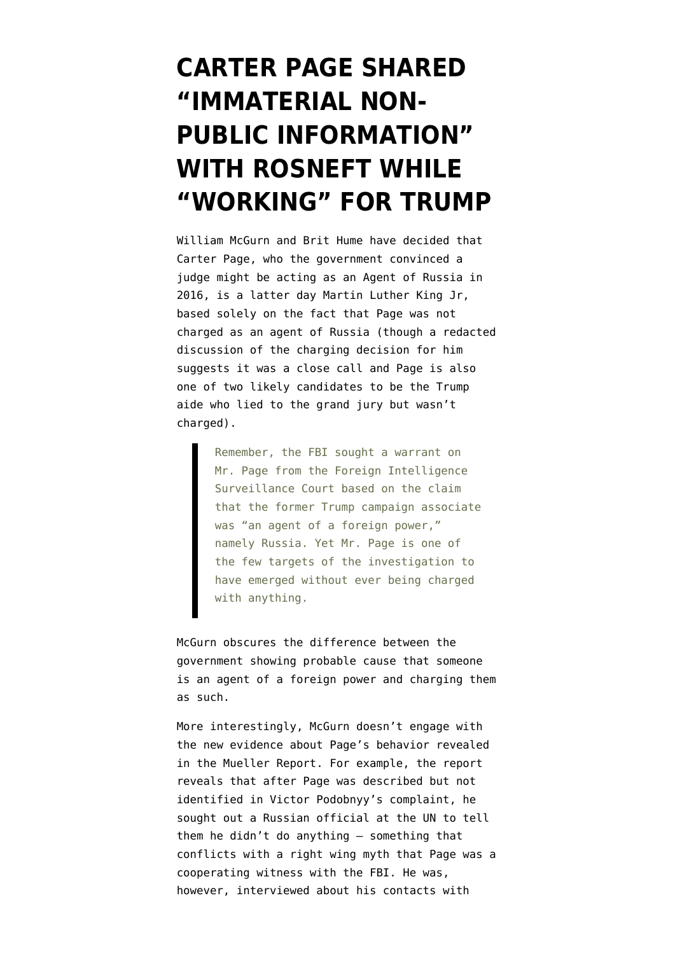## **[CARTER PAGE SHARED](https://www.emptywheel.net/2019/06/04/carter-page-shared-immaterial-non-public-information-with-rosneft-while-working-for-trump/) ["IMMATERIAL NON-](https://www.emptywheel.net/2019/06/04/carter-page-shared-immaterial-non-public-information-with-rosneft-while-working-for-trump/)[PUBLIC INFORMATION"](https://www.emptywheel.net/2019/06/04/carter-page-shared-immaterial-non-public-information-with-rosneft-while-working-for-trump/) [WITH ROSNEFT WHILE](https://www.emptywheel.net/2019/06/04/carter-page-shared-immaterial-non-public-information-with-rosneft-while-working-for-trump/) ["WORKING" FOR TRUMP](https://www.emptywheel.net/2019/06/04/carter-page-shared-immaterial-non-public-information-with-rosneft-while-working-for-trump/)**

William McGurn and [Brit Hume](https://twitter.com/brithume/status/1135895696371064836) have [decided](https://www.wsj.com/articles/about-the-fbis-spying-11559602877) that Carter Page, who the government convinced a judge might be acting as an Agent of Russia in 2016, is a latter day Martin Luther King Jr, based solely on the fact that Page was not charged as an agent of Russia (though a [redacted](https://www.emptywheel.net/2019/04/30/useful-but-willful-idiot-page-or/) [discussion](https://www.emptywheel.net/2019/04/30/useful-but-willful-idiot-page-or/) of the charging decision for him suggests it was a close call and Page is also one of two likely candidates to be the Trump aide who lied to the grand jury but wasn't charged).

> Remember, the FBI sought a warrant on Mr. Page from the Foreign Intelligence Surveillance Court based on the claim that the former Trump campaign associate was "an agent of a foreign power," namely Russia. Yet Mr. Page is one of the few targets of the investigation to have emerged without ever being charged with anything.

McGurn obscures the difference between the government showing probable cause that someone is an agent of a foreign power and charging them as such.

More interestingly, McGurn doesn't engage with the new evidence about Page's behavior revealed in the [Mueller Report](https://assets.documentcloud.org/documents/6002293/190322-Redacted-Mueller-Report.pdf). For example, the report reveals that after Page was described but not identified in Victor Podobnyy's complaint, he sought out a Russian official at the UN to tell them he didn't do anything — something that conflicts with a right wing myth that Page was a cooperating witness with the FBI. He was, however, interviewed about his contacts with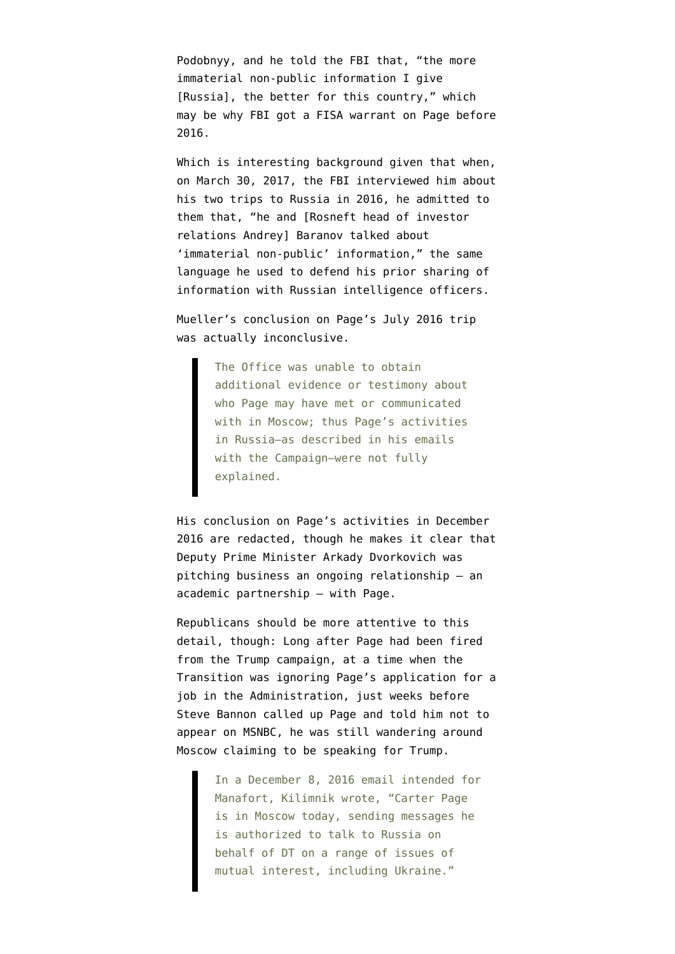Podobnyy, and he told the FBI that, "the more immaterial non-public information I give [Russia], the better for this country," which may be why FBI got a FISA warrant on Page before 2016.

Which is interesting background given that when, on March 30, 2017, the FBI interviewed him about his two trips to Russia in 2016, he admitted to them that, "he and [Rosneft head of investor relations Andrey] Baranov talked about 'immaterial non-public' information," the same language he used to defend his prior sharing of information with Russian intelligence officers.

Mueller's conclusion on Page's July 2016 trip was actually inconclusive.

> The Office was unable to obtain additional evidence or testimony about who Page may have met or communicated with in Moscow; thus Page's activities in Russia–as described in his emails with the Campaign–were not fully explained.

His conclusion on Page's activities in December 2016 are redacted, though he makes it clear that Deputy Prime Minister Arkady Dvorkovich was pitching business an ongoing relationship — an academic partnership — with Page.

Republicans should be more attentive to this detail, though: Long after Page had been fired from the Trump campaign, at a time when the Transition was ignoring Page's application for a job in the Administration, just weeks before [Steve Bannon called up Page and told him not to](https://www.emptywheel.net/2018/07/24/denial-and-deception-did-trump-really-hire-and-fire-the-russian-assets-on-his-campaign/) [appear on MSNBC,](https://www.emptywheel.net/2018/07/24/denial-and-deception-did-trump-really-hire-and-fire-the-russian-assets-on-his-campaign/) he was still wandering around Moscow claiming to be speaking for Trump.

> In a December 8, 2016 email intended for Manafort, Kilimnik wrote, "Carter Page is in Moscow today, sending messages he is authorized to talk to Russia on behalf of DT on a range of issues of mutual interest, including Ukraine."